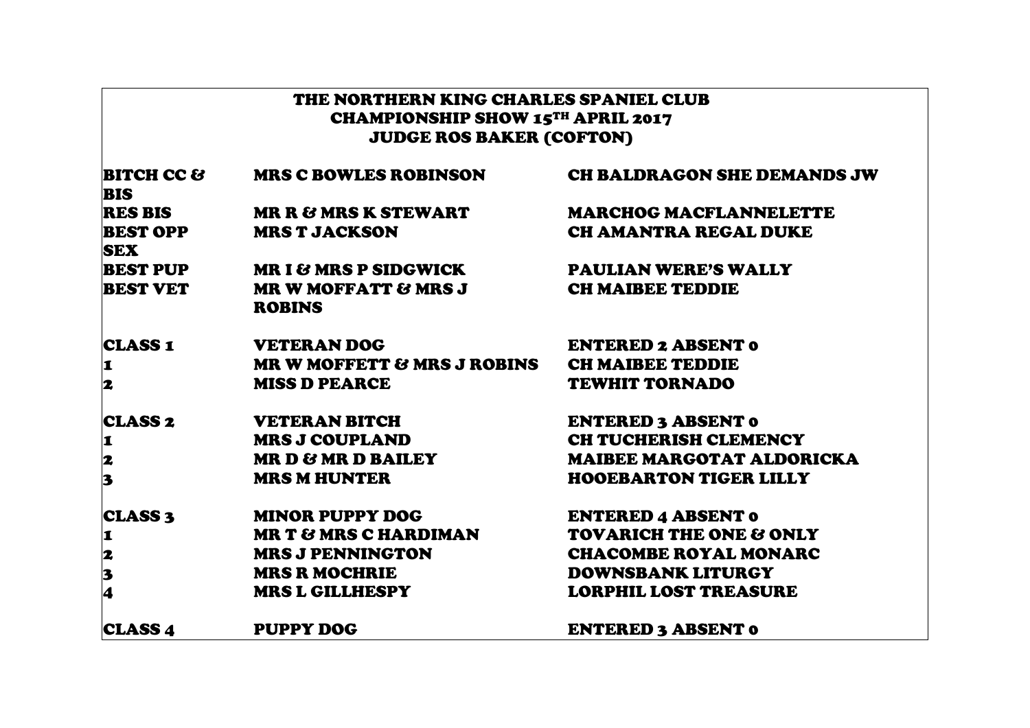| THE NORTHERN KING CHARLES SPANIEL CLUB<br><b>CHAMPIONSHIP SHOW 15TH APRIL 2017</b><br><b>JUDGE ROS BAKER (COFTON)</b> |                                                  |                                    |
|-----------------------------------------------------------------------------------------------------------------------|--------------------------------------------------|------------------------------------|
| <b>BITCH CC &amp;</b><br><b>BIS</b>                                                                                   | <b>MRS C BOWLES ROBINSON</b>                     | <b>CH BALDRAGON SHE DEMANDS JW</b> |
| <b>RES BIS</b>                                                                                                        | <b>MR R &amp; MRS K STEWART</b>                  | <b>MARCHOG MACFLANNELETTE</b>      |
| <b>BEST OPP</b><br><b>SEX</b>                                                                                         | <b>MRS T JACKSON</b>                             | <b>CH AMANTRA REGAL DUKE</b>       |
| <b>BEST PUP</b>                                                                                                       | <b>MR I &amp; MRS P SIDGWICK</b>                 | <b>PAULIAN WERE'S WALLY</b>        |
| <b>BEST VET</b>                                                                                                       | <b>MR W MOFFATT &amp; MRS J</b><br><b>ROBINS</b> | <b>CH MAIBEE TEDDIE</b>            |
| <b>CLASS 1</b>                                                                                                        | <b>VETERAN DOG</b>                               | <b>ENTERED 2 ABSENT 0</b>          |
| I.                                                                                                                    | <b>MR W MOFFETT &amp; MRS J ROBINS</b>           | <b>CH MAIBEE TEDDIE</b>            |
| 2                                                                                                                     | <b>MISS D PEARCE</b>                             | <b>TEWHIT TORNADO</b>              |
| <b>CLASS 2</b>                                                                                                        | VETERAN BITCH                                    | <b>ENTERED 3 ABSENT 0</b>          |
| 1                                                                                                                     | <b>MRS J COUPLAND</b>                            | <b>CH TUCHERISH CLEMENCY</b>       |
|                                                                                                                       | MR D & MR D BAILEY                               | <b>MAIBEE MARGOTAT ALDORICKA</b>   |
| $\begin{array}{c} \mathbf{2} \\ \mathbf{3} \end{array}$                                                               | <b>MRS M HUNTER</b>                              | <b>HOOEBARTON TIGER LILLY</b>      |
| <b>CLASS 3</b>                                                                                                        | <b>MINOR PUPPY DOG</b>                           | <b>ENTERED 4 ABSENT 0</b>          |
| 1                                                                                                                     | <b>MR T &amp; MRS C HARDIMAN</b>                 | <b>TOVARICH THE ONE &amp; ONLY</b> |
|                                                                                                                       | <b>MRS J PENNINGTON</b>                          | <b>CHACOMBE ROYAL MONARC</b>       |
| $\begin{array}{c} \mathbf{2} \\ \mathbf{3} \\ \mathbf{4} \end{array}$                                                 | <b>MRS R MOCHRIE</b>                             | <b>DOWNSBANK LITURGY</b>           |
|                                                                                                                       | <b>MRS L GILLHESPY</b>                           | <b>LORPHIL LOST TREASURE</b>       |
| <b>CLASS 4</b>                                                                                                        | <b>PUPPY DOG</b>                                 | <b>ENTERED 3 ABSENT 0</b>          |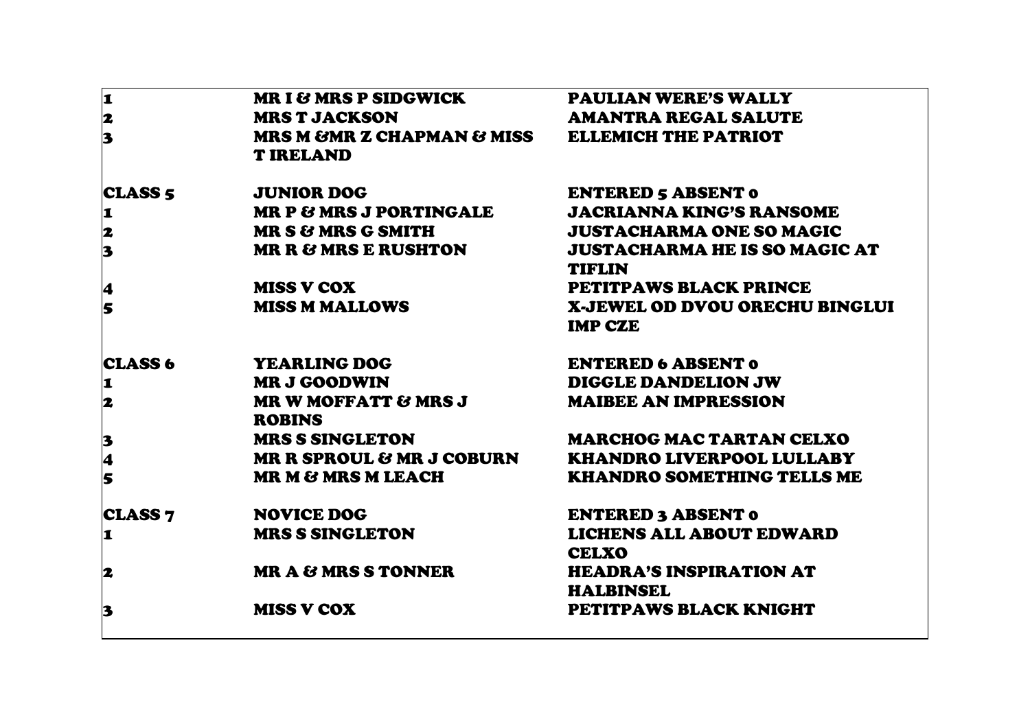| 1                       | <b>MR I &amp; MRS P SIDGWICK</b>                                     | <b>PAULIAN WERE'S WALLY</b>                           |
|-------------------------|----------------------------------------------------------------------|-------------------------------------------------------|
| 2                       | <b>MRS T JACKSON</b>                                                 | <b>AMANTRA REGAL SALUTE</b>                           |
| 3                       | MRS M & MR Z CHAPMAN & MISS ELLEMICH THE PATRIOT<br><b>T IRELAND</b> |                                                       |
| <b>CLASS 5</b>          | <b>JUNIOR DOG</b>                                                    | <b>ENTERED 5 ABSENT 0</b>                             |
| 1                       | <b>MR P &amp; MRS J PORTINGALE</b>                                   | <b>JACRIANNA KING'S RANSOME</b>                       |
| 2                       | <b>MR S &amp; MRS G SMITH</b>                                        | <b>JUSTACHARMA ONE SO MAGIC</b>                       |
| $\overline{\mathbf{3}}$ | <b>MR R &amp; MRS E RUSHTON</b>                                      | <b>JUSTACHARMA HE IS SO MAGIC AT</b><br><b>TIFLIN</b> |
| 4                       | <b>MISS V COX</b>                                                    | <b>PETITPAWS BLACK PRINCE</b>                         |
| 5                       | <b>MISS M MALLOWS</b>                                                | X-JEWEL OD DVOU ORECHU BINGLUI<br><b>IMP CZE</b>      |
| <b>CLASS 6</b>          | <b>YEARLING DOG</b>                                                  | <b>ENTERED 6 ABSENT 0</b>                             |
| 1                       | <b>MR J GOODWIN</b>                                                  | <b>DIGGLE DANDELION JW</b>                            |
| 2                       | <b>MR W MOFFATT &amp; MRS J</b><br><b>ROBINS</b>                     | <b>MAIBEE AN IMPRESSION</b>                           |
| 3                       | <b>MRS S SINGLETON</b>                                               | <b>MARCHOG MAC TARTAN CELXO</b>                       |
| $\overline{\mathbf{4}}$ | <b>MR R SPROUL &amp; MR J COBURN</b>                                 | <b>KHANDRO LIVERPOOL LULLABY</b>                      |
| 5                       | <b>MR M &amp; MRS M LEACH</b>                                        | <b>KHANDRO SOMETHING TELLS ME</b>                     |
| <b>CLASS 7</b>          | <b>NOVICE DOG</b>                                                    | <b>ENTERED 3 ABSENT 0</b>                             |
| 1                       | <b>MRS S SINGLETON</b>                                               | <b>LICHENS ALL ABOUT EDWARD</b><br><b>CELXO</b>       |
| 2                       | <b>MR A &amp; MRS S TONNER</b>                                       | <b>HEADRA'S INSPIRATION AT</b><br><b>HALBINSEL</b>    |
| 3                       | <b>MISS V COX</b>                                                    | PETITPAWS BLACK KNIGHT                                |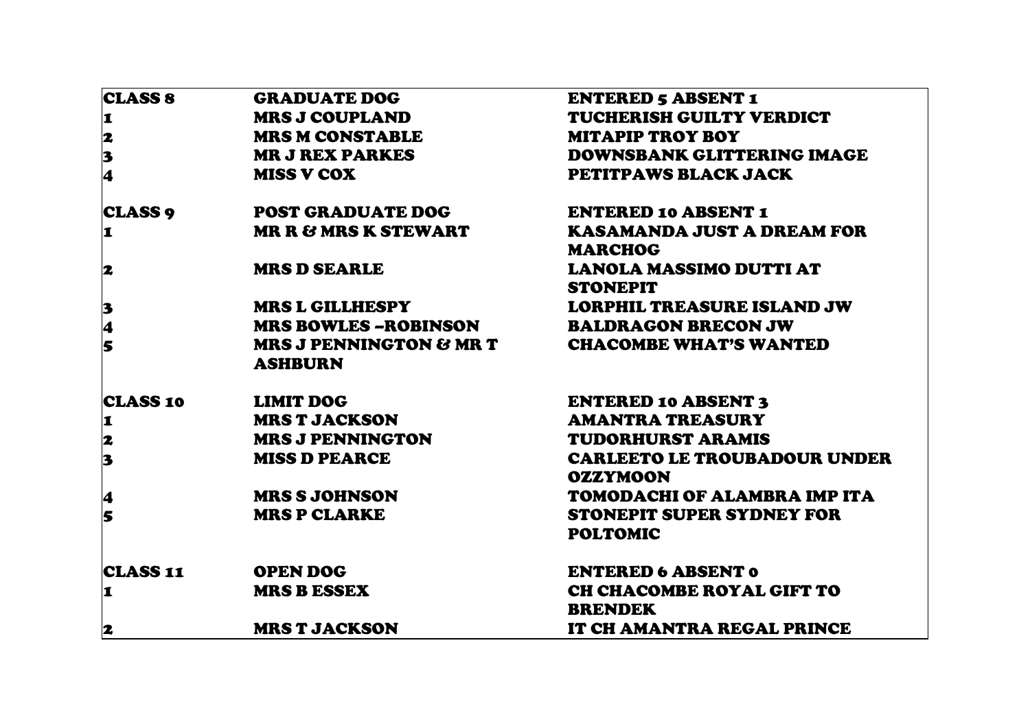| <b>CLASS 8</b>          | <b>GRADUATE DOG</b>                                  | <b>ENTERED 5 ABSENT 1</b>                              |
|-------------------------|------------------------------------------------------|--------------------------------------------------------|
| 1                       | <b>MRS J COUPLAND</b>                                | TUCHERISH GUILTY VERDICT                               |
| $\overline{\mathbf{z}}$ | <b>MRS M CONSTABLE</b>                               | <b>MITAPIP TROY BOY</b>                                |
|                         | <b>MR J REX PARKES</b>                               | <b>DOWNSBANK GLITTERING IMAGE</b>                      |
| $\frac{3}{4}$           | <b>MISS V COX</b>                                    | PETITPAWS BLACK JACK                                   |
| <b>CLASS 9</b>          | <b>POST GRADUATE DOG</b>                             | <b>ENTERED 10 ABSENT 1</b>                             |
| 1                       | <b>MR R &amp; MRS K STEWART</b>                      | <b>KASAMANDA JUST A DREAM FOR</b>                      |
|                         |                                                      | <b>MARCHOG</b>                                         |
| 2                       | <b>MRS D SEARLE</b>                                  | <b>LANOLA MASSIMO DUTTI AT</b>                         |
|                         |                                                      | <b>STONEPIT</b>                                        |
| 3                       | <b>MRS L GILLHESPY</b>                               | <b>LORPHIL TREASURE ISLAND JW</b>                      |
| 4                       | <b>MRS BOWLES -ROBINSON</b>                          | <b>BALDRAGON BRECON JW</b>                             |
| 5                       | <b>MRS J PENNINGTON &amp; MR T</b><br><b>ASHBURN</b> | <b>CHACOMBE WHAT'S WANTED</b>                          |
| <b>CLASS 10</b>         | <b>LIMIT DOG</b>                                     | <b>ENTERED 10 ABSENT 3</b>                             |
| 1                       | <b>MRS T JACKSON</b>                                 | <b>AMANTRA TREASURY</b>                                |
| 2                       | <b>MRS J PENNINGTON</b>                              | <b>TUDORHURST ARAMIS</b>                               |
| $\overline{\mathbf{3}}$ | <b>MISS D PEARCE</b>                                 | <b>CARLEETO LE TROUBADOUR UNDER</b><br><b>OZZYMOON</b> |
| 4                       | <b>MRS S JOHNSON</b>                                 | TOMODACHI OF ALAMBRA IMP ITA                           |
| 5                       | <b>MRS P CLARKE</b>                                  | <b>STONEPIT SUPER SYDNEY FOR</b><br><b>POLTOMIC</b>    |
| <b>CLASS 11</b>         | <b>OPEN DOG</b>                                      | <b>ENTERED 6 ABSENT 0</b>                              |
| 1                       | <b>MRS B ESSEX</b>                                   | CH CHACOMBE ROYAL GIFT TO                              |
|                         |                                                      | <b>BRENDEK</b>                                         |
| 2                       | <b>MRS T JACKSON</b>                                 | IT CH AMANTRA REGAL PRINCE                             |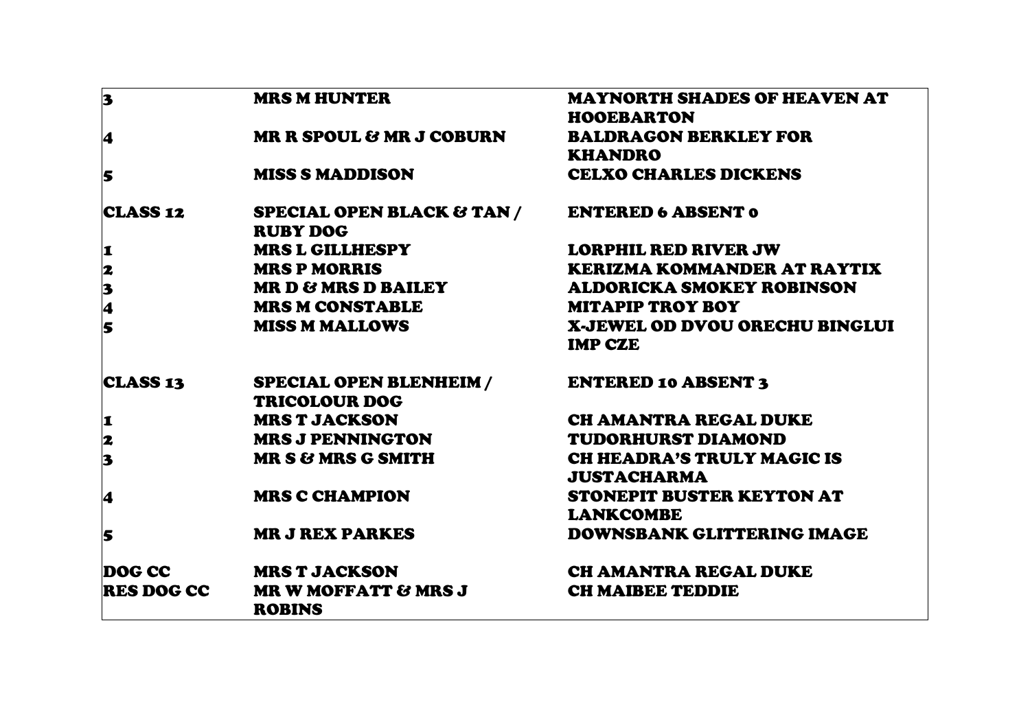| 3                                                       | <b>MRS M HUNTER</b>                                              | <b>MAYNORTH SHADES OF HEAVEN AT</b> |
|---------------------------------------------------------|------------------------------------------------------------------|-------------------------------------|
|                                                         |                                                                  | <b>HOOEBARTON</b>                   |
| 4                                                       | <b>MR R SPOUL &amp; MR J COBURN</b>                              | <b>BALDRAGON BERKLEY FOR</b>        |
|                                                         |                                                                  | <b>KHANDRO</b>                      |
| 5                                                       | <b>MISS S MADDISON</b>                                           | <b>CELXO CHARLES DICKENS</b>        |
| <b>CLASS 12</b>                                         | SPECIAL OPEN BLACK & TAN / ENTERED 6 ABSENT 0<br><b>RUBY DOG</b> |                                     |
| I                                                       | <b>MRS L GILLHESPY</b>                                           | <b>LORPHIL RED RIVER JW</b>         |
|                                                         | <b>MRS P MORRIS</b>                                              | <b>KERIZMA KOMMANDER AT RAYTIX</b>  |
| 2345                                                    | <b>MR D &amp; MRS D BAILEY</b>                                   | <b>ALDORICKA SMOKEY ROBINSON</b>    |
|                                                         | <b>MRS M CONSTABLE</b>                                           | <b>MITAPIP TROY BOY</b>             |
|                                                         | <b>MISS M MALLOWS</b>                                            | X-JEWEL OD DVOU ORECHU BINGLUI      |
|                                                         |                                                                  | <b>IMP CZE</b>                      |
| CLASS 13                                                | <b>SPECIAL OPEN BLENHEIM /</b>                                   | <b>ENTERED 10 ABSENT 3</b>          |
|                                                         | <b>TRICOLOUR DOG</b>                                             |                                     |
| <b>1</b>                                                | <b>MRS T JACKSON</b>                                             | <b>CH AMANTRA REGAL DUKE</b>        |
| $\begin{array}{c} \mathbf{2} \\ \mathbf{3} \end{array}$ | <b>MRS J PENNINGTON</b>                                          | <b>TUDORHURST DIAMOND</b>           |
|                                                         | <b>MR S &amp; MRS G SMITH</b>                                    | <b>CH HEADRA'S TRULY MAGIC IS</b>   |
|                                                         |                                                                  | <b>JUSTACHARMA</b>                  |
| 4                                                       | <b>MRS C CHAMPION</b>                                            | STONEPIT BUSTER KEYTON AT           |
|                                                         |                                                                  | <b>LANKCOMBE</b>                    |
| 5                                                       | <b>MR J REX PARKES</b>                                           | <b>DOWNSBANK GLITTERING IMAGE</b>   |
| DOG CC                                                  | <b>MRS T JACKSON</b>                                             | CH AMANTRA REGAL DUKE               |
| <b>RES DOG CC</b>                                       | <b>MR W MOFFATT &amp; MRS J</b><br><b>ROBINS</b>                 | <b>CH MAIBEE TEDDIE</b>             |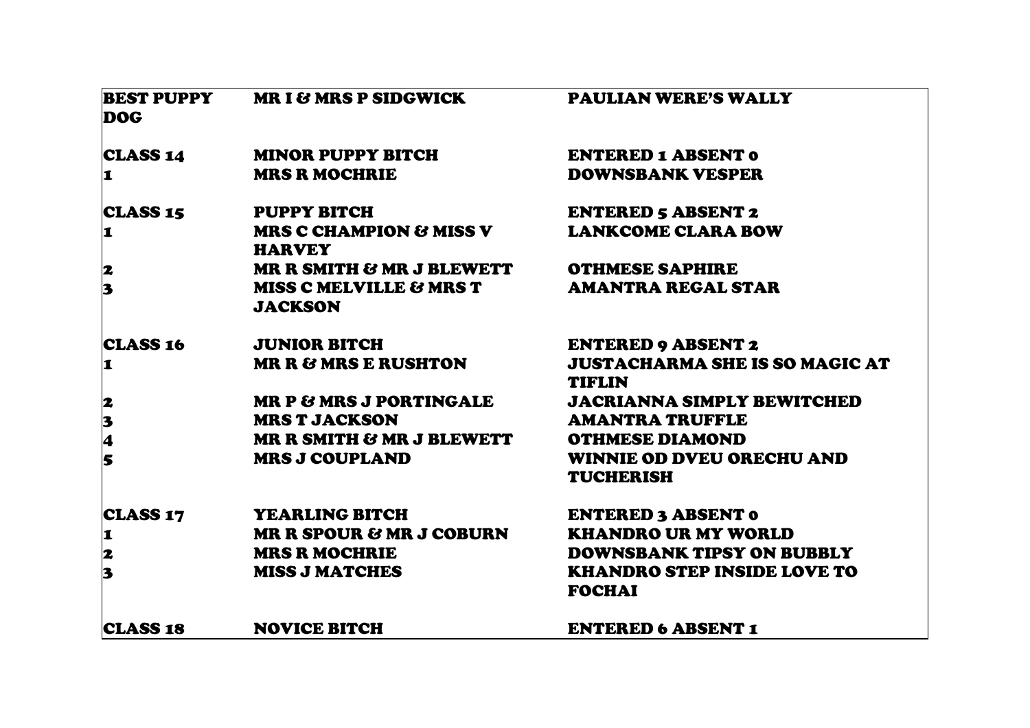| <b>BEST PUPPY</b><br><b>DOG</b>                         | <b>MRI&amp; MRS P SIDGWICK</b>            | <b>PAULIAN WERE'S WALLY</b>                            |
|---------------------------------------------------------|-------------------------------------------|--------------------------------------------------------|
| CLASS 14                                                | MINOR PUPPY BITCH                         | <b>ENTERED 1 ABSENT 0</b>                              |
| <b>1</b>                                                | <b>MRS R MOCHRIE</b>                      | <b>DOWNSBANK VESPER</b>                                |
| <b>CLASS 15</b>                                         | <b>PUPPY BITCH</b>                        | <b>ENTERED 5 ABSENT 2</b>                              |
| $\mathbf{I}$                                            | MRS C CHAMPION & MISS V<br><b>HARVEY</b>  | <b>LANKCOME CLARA BOW</b>                              |
|                                                         | MR R SMITH & MR J BLEWETT                 | <b>OTHMESE SAPHIRE</b>                                 |
| $\begin{array}{c} \mathbf{2} \\ \mathbf{3} \end{array}$ | MISS C MELVILLE & MRS T<br><b>JACKSON</b> | <b>AMANTRA REGAL STAR</b>                              |
| <b>CLASS 16</b>                                         | <b>JUNIOR BITCH</b>                       | <b>ENTERED 9 ABSENT 2</b>                              |
| 1                                                       | <b>MR R &amp; MRS E RUSHTON</b>           | <b>JUSTACHARMA SHE IS SO MAGIC AT</b><br><b>TIFLIN</b> |
|                                                         | <b>MR P &amp; MRS J PORTINGALE</b>        | <b>JACRIANNA SIMPLY BEWITCHED</b>                      |
|                                                         | <b>MRS T JACKSON</b>                      | <b>AMANTRA TRUFFLE</b>                                 |
| 2345                                                    | MR R SMITH & MR J BLEWETT                 | <b>OTHMESE DIAMOND</b>                                 |
|                                                         | <b>MRS J COUPLAND</b>                     | <b>WINNIE OD DVEU ORECHU AND</b><br><b>TUCHERISH</b>   |
| <b>CLASS 17</b>                                         | <b>YEARLING BITCH</b>                     | <b>ENTERED 3 ABSENT 0</b>                              |
| 1                                                       | <b>MR R SPOUR &amp; MR J COBURN</b>       | <b>KHANDRO UR MY WORLD</b>                             |
|                                                         | <b>MRS R MOCHRIE</b>                      | DOWNSBANK TIPSY ON BUBBLY                              |
| $\begin{array}{c} \mathbf{2} \\ \mathbf{3} \end{array}$ | <b>MISS J MATCHES</b>                     | <b>KHANDRO STEP INSIDE LOVE TO</b><br><b>FOCHAI</b>    |
| <b>CLASS 18</b>                                         | <b>NOVICE BITCH</b>                       | <b>ENTERED 6 ABSENT 1</b>                              |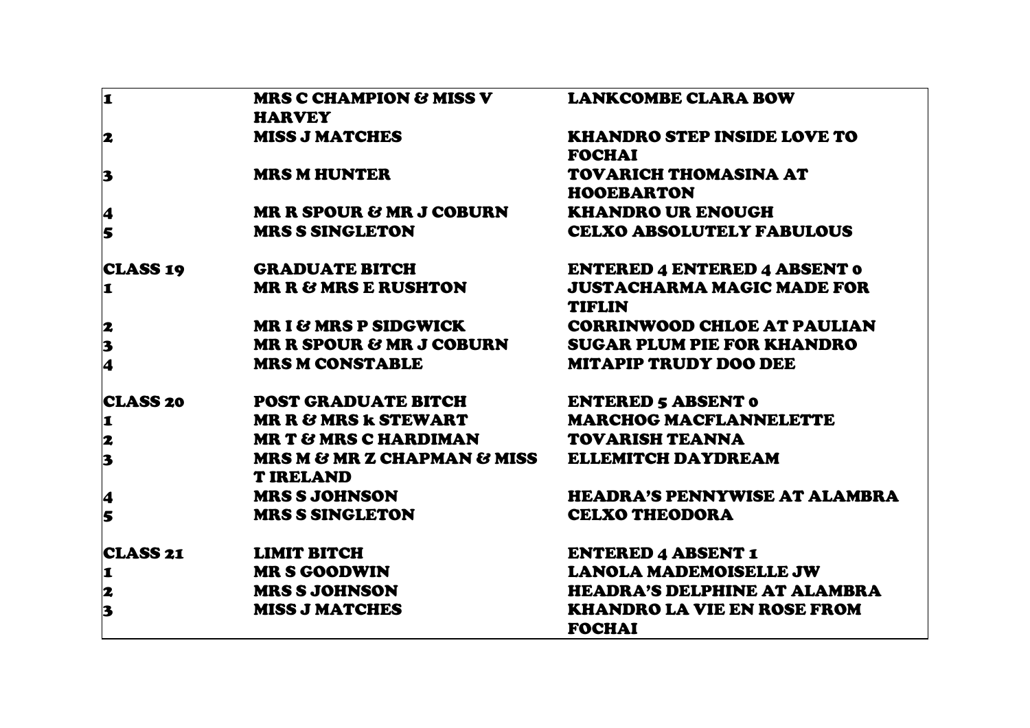| 1                                                                     | <b>MRS C CHAMPION &amp; MISS V</b><br><b>HARVEY</b>            | <b>LANKCOMBE CLARA BOW</b>                          |
|-----------------------------------------------------------------------|----------------------------------------------------------------|-----------------------------------------------------|
| 2                                                                     | <b>MISS J MATCHES</b>                                          | <b>KHANDRO STEP INSIDE LOVE TO</b><br><b>FOCHAI</b> |
| 3                                                                     | <b>MRS M HUNTER</b>                                            | TOVARICH THOMASINA AT<br><b>HOOEBARTON</b>          |
| 4                                                                     | <b>MR R SPOUR &amp; MR J COBURN</b>                            | <b>KHANDRO UR ENOUGH</b>                            |
| 5                                                                     | <b>MRS S SINGLETON</b>                                         | <b>CELXO ABSOLUTELY FABULOUS</b>                    |
| <b>CLASS 19</b>                                                       | <b>GRADUATE BITCH</b>                                          | <b>ENTERED 4 ENTERED 4 ABSENT 0</b>                 |
| 1                                                                     | <b>MR R &amp; MRS E RUSHTON</b>                                | <b>JUSTACHARMA MAGIC MADE FOR</b><br><b>TIFLIN</b>  |
|                                                                       | <b>MRI &amp; MRS P SIDGWICK</b>                                | <b>CORRINWOOD CHLOE AT PAULIAN</b>                  |
| $\begin{array}{c} \mathbf{2} \\ \mathbf{3} \\ \mathbf{4} \end{array}$ | MR R SPOUR & MR J COBURN                                       | <b>SUGAR PLUM PIE FOR KHANDRO</b>                   |
|                                                                       | <b>MRS M CONSTABLE</b>                                         | <b>MITAPIP TRUDY DOO DEE</b>                        |
| <b>CLASS 20</b>                                                       | <b>POST GRADUATE BITCH</b>                                     | <b>ENTERED 5 ABSENT 0</b>                           |
| 1                                                                     | <b>MR R &amp; MRS k STEWART</b>                                | <b>MARCHOG MACFLANNELETTE</b>                       |
| $\overline{\mathbf{z}}$                                               | <b>MR T &amp; MRS C HARDIMAN</b>                               | <b>TOVARISH TEANNA</b>                              |
| $\overline{\mathbf{3}}$                                               | <b>MRS M &amp; MR Z CHAPMAN &amp; MISS</b><br><b>T IRELAND</b> | <b>ELLEMITCH DAYDREAM</b>                           |
| 4                                                                     | <b>MRS S JOHNSON</b>                                           | <b>HEADRA'S PENNYWISE AT ALAMBRA</b>                |
| $\overline{\mathbf{s}}$                                               | <b>MRS S SINGLETON</b>                                         | <b>CELXO THEODORA</b>                               |
| <b>CLASS 21</b>                                                       | <b>LIMIT BITCH</b>                                             | <b>ENTERED 4 ABSENT 1</b>                           |
| I                                                                     | <b>MR S GOODWIN</b>                                            | <b>LANOLA MADEMOISELLE JW</b>                       |
|                                                                       | <b>MRS S JOHNSON</b>                                           | <b>HEADRA'S DELPHINE AT ALAMBRA</b>                 |
| $\begin{array}{c} \mathbf{2} \\ \mathbf{3} \end{array}$               | <b>MISS J MATCHES</b>                                          | <b>KHANDRO LA VIE EN ROSE FROM</b><br><b>FOCHAI</b> |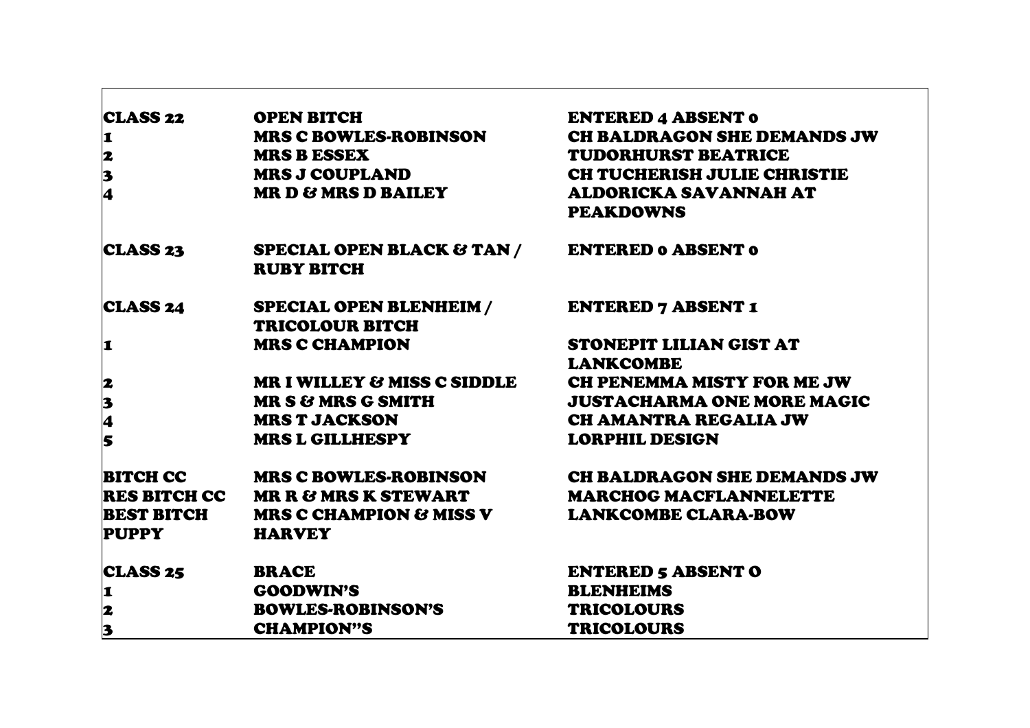| <b>CLASS 22</b>                            | <b>OPEN BITCH</b>                                        | <b>ENTERED 4 ABSENT 0</b>                              |
|--------------------------------------------|----------------------------------------------------------|--------------------------------------------------------|
|                                            | <b>MRS C BOWLES-ROBINSON</b>                             | CH BALDRAGON SHE DEMANDS JW                            |
| $\frac{1}{2}$<br>$\frac{3}{4}$             | <b>MRS B ESSEX</b>                                       | <b>TUDORHURST BEATRICE</b>                             |
|                                            | <b>MRS J COUPLAND</b>                                    | CH TUCHERISH JULIE CHRISTIE                            |
|                                            | <b>MR D &amp; MRS D BAILEY</b>                           | ALDORICKA SAVANNAH AT                                  |
|                                            |                                                          | <b>PEAKDOWNS</b>                                       |
| <b>CLASS 23</b>                            | SPECIAL OPEN BLACK & TAN / ENTERED 0 ABSENT 0            |                                                        |
|                                            | <b>RUBY BITCH</b>                                        |                                                        |
| CLASS 24                                   | SPECIAL OPEN BLENHEIM /                                  | <b>ENTERED 7 ABSENT 1</b>                              |
|                                            | <b>TRICOLOUR BITCH</b>                                   |                                                        |
| <b>1</b>                                   | <b>MRS C CHAMPION</b>                                    | STONEPIT LILIAN GIST AT                                |
|                                            |                                                          | <b>LANKCOMBE</b>                                       |
|                                            |                                                          | MR I WILLEY & MISS C SIDDLE CH PENEMMA MISTY FOR ME JW |
|                                            | <b>MR S &amp; MRS G SMITH</b>                            | <b>JUSTACHARMA ONE MORE MAGIC</b>                      |
| 2345                                       | <b>MRS T JACKSON</b>                                     | <b>CH AMANTRA REGALIA JW</b>                           |
|                                            | <b>MRS L GILLHESPY</b>                                   | <b>LORPHIL DESIGN</b>                                  |
|                                            | BITCH CC MRS C BOWLES-ROBINSON                           | CH BALDRAGON SHE DEMANDS JW                            |
|                                            | RES BITCH CC MR R & MRS K STEWART MARCHOG MACFLANNELETTE |                                                        |
| <b>BEST BITCH</b>                          | MRS C CHAMPION & MISS V                                  | <b>LANKCOMBE CLARA-BOW</b>                             |
| <b>PUPPY</b>                               | <b>HARVEY</b>                                            |                                                        |
| <b>CLASS 25</b>                            | <b>BRACE</b>                                             | <b>ENTERED 5 ABSENT O</b>                              |
|                                            | <b>GOODWIN'S</b>                                         | <b>BLENHEIMS</b>                                       |
|                                            | <b>BOWLES-ROBINSON'S</b>                                 | <b>TRICOLOURS</b>                                      |
| $\begin{array}{c} 1 \\ 2 \\ 3 \end{array}$ | <b>CHAMPION"S</b>                                        | <b>TRICOLOURS</b>                                      |

 $\Gamma$